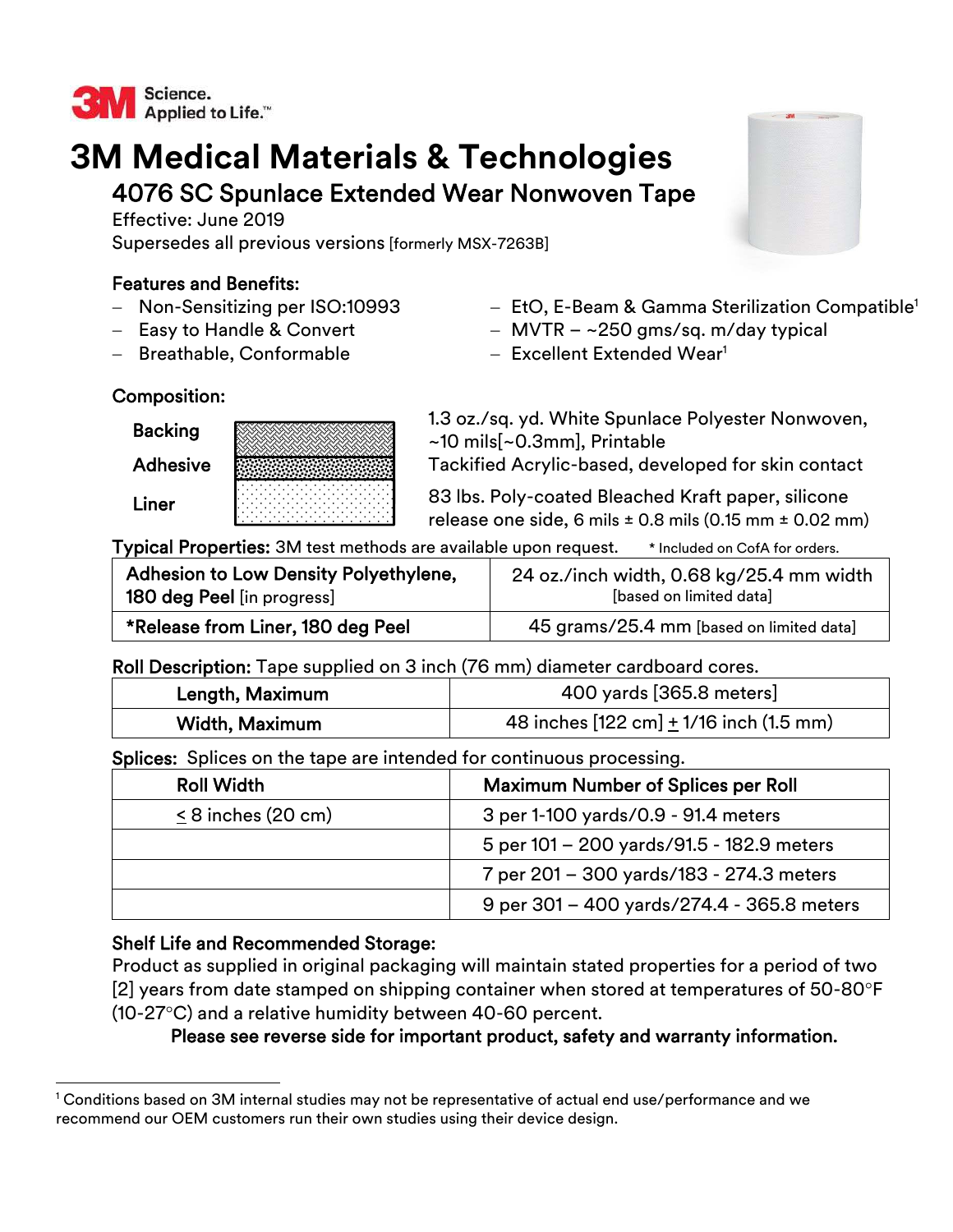

# **3M Medical Materials & Technologies**  4076 SC Spunlace Extended Wear Nonwoven Tape

Effective: June 2019 Supersedes all previous versions [formerly MSX-7263B]

## Features and Benefits:

- Non-Sensitizing per ISO:10993
- Easy to Handle & Convert
- Breathable, Conformable
- $-$  EtO, E-Beam & Gamma Sterilization Compatible<sup>1</sup>
- $-$  MVTR  $-$  ~250 gms/sq. m/day typical
- $-$  Excellent Extended Wear<sup>1</sup>

# Composition:

| <b>Backing</b>  |  |
|-----------------|--|
| <b>Adhesive</b> |  |
| Liner           |  |

1.3 oz./sq. yd. White Spunlace Polyester Nonwoven, ~10 mils[~0.3mm], Printable Tackified Acrylic-based, developed for skin contact

83 lbs. Poly-coated Bleached Kraft paper, silicone release one side, 6 mils  $\pm$  0.8 mils (0.15 mm  $\pm$  0.02 mm)

Typical Properties: 3M test methods are available upon request. \* Included on CofA for orders.

| Adhesion to Low Density Polyethylene, | 24 oz./inch width, 0.68 kg/25.4 mm width |
|---------------------------------------|------------------------------------------|
| <b>180 deg Peel</b> [in progress]     | [based on limited data]                  |
| *Release from Liner, 180 deg Peel     | 45 grams/25.4 mm [based on limited data] |

## Roll Description: Tape supplied on 3 inch (76 mm) diameter cardboard cores.

| Length, Maximum | 400 yards [365.8 meters]                          |
|-----------------|---------------------------------------------------|
| Width, Maximum  | 48 inches $[122 \text{ cm}] + 1/16$ inch (1.5 mm) |

Splices: Splices on the tape are intended for continuous processing.

| <b>Roll Width</b>       | <b>Maximum Number of Splices per Roll</b>  |
|-------------------------|--------------------------------------------|
| $\leq$ 8 inches (20 cm) | 3 per 1-100 yards/0.9 - 91.4 meters        |
|                         | 5 per 101 – 200 yards/91.5 - 182.9 meters  |
|                         | 7 per 201 – 300 yards/183 - 274.3 meters   |
|                         | 9 per 301 – 400 yards/274.4 - 365.8 meters |

# Shelf Life and Recommended Storage:

 $\overline{a}$ 

Product as supplied in original packaging will maintain stated properties for a period of two [2] years from date stamped on shipping container when stored at temperatures of 50-80 $\degree$ F  $(10-27\degree C)$  and a relative humidity between 40-60 percent.

Please see reverse side for important product, safety and warranty information.



<sup>1</sup> Conditions based on 3M internal studies may not be representative of actual end use/performance and we recommend our OEM customers run their own studies using their device design.